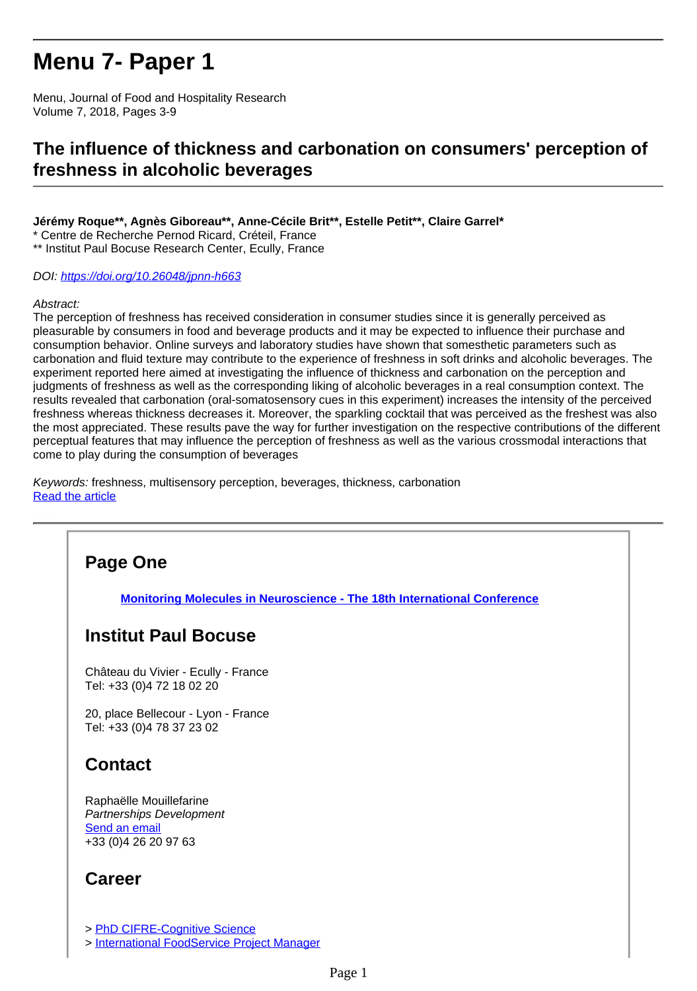# **Menu 7- Paper 1**

Menu, Journal of Food and Hospitality Research Volume 7, 2018, Pages 3-9

### **The influence of thickness and carbonation on consumers' perception of freshness in alcoholic beverages**

#### **Jérémy Roque\*\*, Agnès Giboreau\*\*, Anne-Cécile Brit\*\*, Estelle Petit\*\*, Claire Garrel\***

\* Centre de Recherche Pernod Ricard, Créteil, France

\*\* Institut Paul Bocuse Research Center, Ecully, France

#### DOI:<https://doi.org/10.26048/jpnn-h663>

#### Abstract:

The perception of freshness has received consideration in consumer studies since it is generally perceived as pleasurable by consumers in food and beverage products and it may be expected to influence their purchase and consumption behavior. Online surveys and laboratory studies have shown that somesthetic parameters such as carbonation and fluid texture may contribute to the experience of freshness in soft drinks and alcoholic beverages. The experiment reported here aimed at investigating the influence of thickness and carbonation on the perception and judgments of freshness as well as the corresponding liking of alcoholic beverages in a real consumption context. The results revealed that carbonation (oral-somatosensory cues in this experiment) increases the intensity of the perceived freshness whereas thickness decreases it. Moreover, the sparkling cocktail that was perceived as the freshest was also the most appreciated. These results pave the way for further investigation on the respective contributions of the different perceptual features that may influence the perception of freshness as well as the various crossmodal interactions that come to play during the consumption of beverages

Keywords: freshness, multisensory perception, beverages, thickness, carbonation [Read the article](http://research.institutpaulbocuse.com/medias/fichier/roque-2018-menu-7_1603287063852-pdf?INLINE=FALSE)

# **Page One [Monitoring Molecules in Neuroscience - The 18th International Conference](http://recherche.institutpaulbocuse.com/fr/actualites/monitoring-molecules-in-neuroscience-the-18th-international-conference-16303.kjsp?RH=1551112870001) Institut Paul Bocuse** Château du Vivier - Ecully - France Tel: +33 (0)4 72 18 02 20 20, place Bellecour - Lyon - France Tel: +33 (0)4 78 37 23 02 **Contact** Raphaëlle Mouillefarine Partnerships Development Send an email +33 (0)4 26 20 97 63

### **Career**

> [PhD CIFRE-Cognitive Science](http://research.institutpaulbocuse.com/medias/fichier/appel-a-candidature-doctorat-cifre-sciences-cognitives-inceat-v2_1652363547161-pdf?INLINE=FALSE)

> [International FoodService Project Manager](http://research.institutpaulbocuse.com/medias/fichier/chef-de-projet-foodservice-international-fh-en_1648223550614-pdf?INLINE=FALSE)